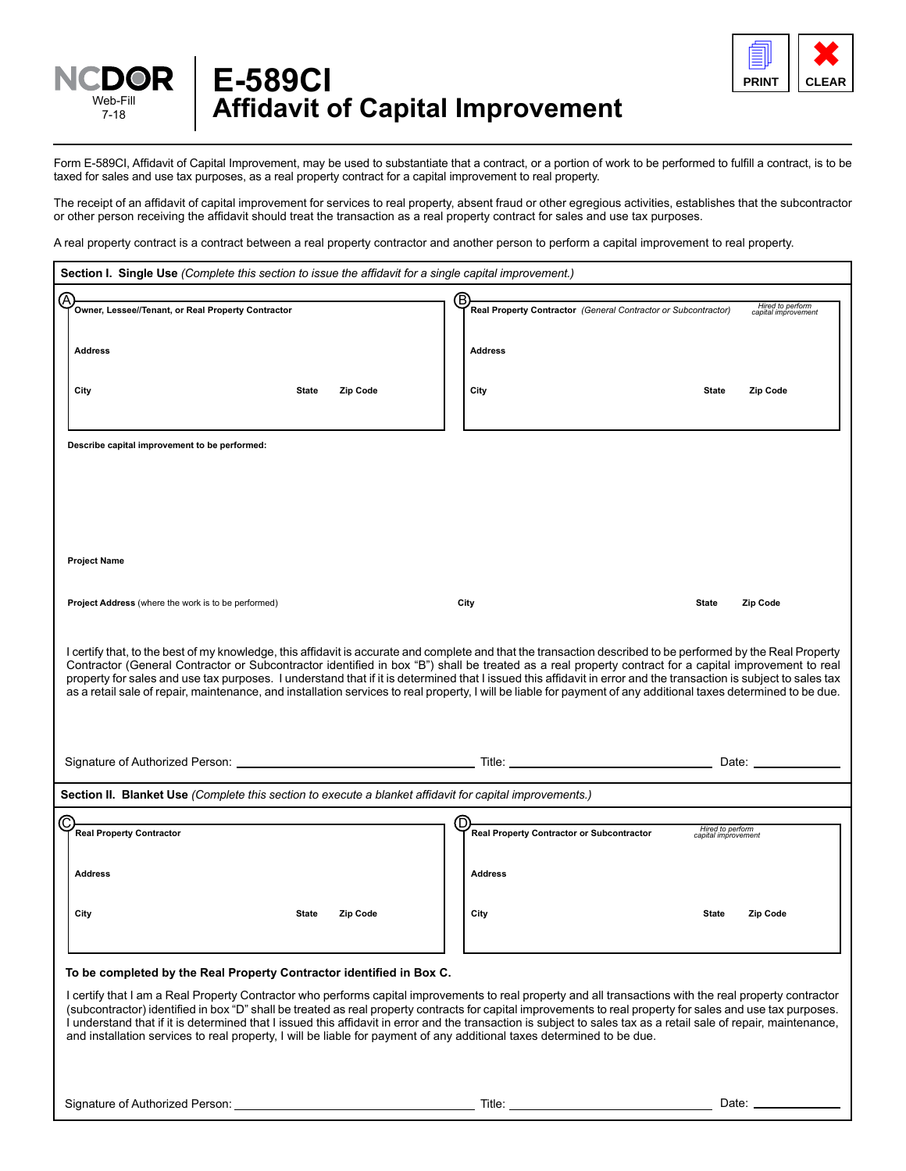



Form E-589CI, Affidavit of Capital Improvement, may be used to substantiate that a contract, or a portion of work to be performed to fulfill a contract, is to be taxed for sales and use tax purposes, as a real property contract for a capital improvement to real property.

The receipt of an affidavit of capital improvement for services to real property, absent fraud or other egregious activities, establishes that the subcontractor or other person receiving the affidavit should treat the transaction as a real property contract for sales and use tax purposes.

A real property contract is a contract between a real property contractor and another person to perform a capital improvement to real property.

| Section I. Single Use (Complete this section to issue the affidavit for a single capital improvement.)                 |                                                                                                                                                                                                                                                                                                                       |
|------------------------------------------------------------------------------------------------------------------------|-----------------------------------------------------------------------------------------------------------------------------------------------------------------------------------------------------------------------------------------------------------------------------------------------------------------------|
|                                                                                                                        |                                                                                                                                                                                                                                                                                                                       |
| (A<br>Owner, Lessee//Tenant, or Real Property Contractor                                                               | ®.<br>Hired to perform<br>capital improvement<br>Real Property Contractor (General Contractor or Subcontractor)                                                                                                                                                                                                       |
|                                                                                                                        |                                                                                                                                                                                                                                                                                                                       |
|                                                                                                                        |                                                                                                                                                                                                                                                                                                                       |
| <b>Address</b>                                                                                                         | <b>Address</b>                                                                                                                                                                                                                                                                                                        |
|                                                                                                                        |                                                                                                                                                                                                                                                                                                                       |
| City<br><b>State</b><br>Zip Code                                                                                       | City<br><b>State</b><br>Zip Code                                                                                                                                                                                                                                                                                      |
|                                                                                                                        |                                                                                                                                                                                                                                                                                                                       |
|                                                                                                                        |                                                                                                                                                                                                                                                                                                                       |
|                                                                                                                        |                                                                                                                                                                                                                                                                                                                       |
| Describe capital improvement to be performed:                                                                          |                                                                                                                                                                                                                                                                                                                       |
|                                                                                                                        |                                                                                                                                                                                                                                                                                                                       |
|                                                                                                                        |                                                                                                                                                                                                                                                                                                                       |
|                                                                                                                        |                                                                                                                                                                                                                                                                                                                       |
|                                                                                                                        |                                                                                                                                                                                                                                                                                                                       |
|                                                                                                                        |                                                                                                                                                                                                                                                                                                                       |
|                                                                                                                        |                                                                                                                                                                                                                                                                                                                       |
|                                                                                                                        |                                                                                                                                                                                                                                                                                                                       |
| <b>Project Name</b>                                                                                                    |                                                                                                                                                                                                                                                                                                                       |
|                                                                                                                        |                                                                                                                                                                                                                                                                                                                       |
| <b>Project Address</b> (where the work is to be performed)                                                             | City<br><b>State</b><br>Zip Code                                                                                                                                                                                                                                                                                      |
|                                                                                                                        |                                                                                                                                                                                                                                                                                                                       |
|                                                                                                                        |                                                                                                                                                                                                                                                                                                                       |
|                                                                                                                        |                                                                                                                                                                                                                                                                                                                       |
|                                                                                                                        | I certify that, to the best of my knowledge, this affidavit is accurate and complete and that the transaction described to be performed by the Real Property<br>Contractor (General Contractor or Subcontractor identified in box "B") shall be treated as a real property contract for a capital improvement to real |
|                                                                                                                        | property for sales and use tax purposes. I understand that if it is determined that I issued this affidavit in error and the transaction is subject to sales tax                                                                                                                                                      |
|                                                                                                                        | as a retail sale of repair, maintenance, and installation services to real property, I will be liable for payment of any additional taxes determined to be due.                                                                                                                                                       |
|                                                                                                                        |                                                                                                                                                                                                                                                                                                                       |
|                                                                                                                        |                                                                                                                                                                                                                                                                                                                       |
|                                                                                                                        |                                                                                                                                                                                                                                                                                                                       |
|                                                                                                                        |                                                                                                                                                                                                                                                                                                                       |
|                                                                                                                        | Title: The contract of the contract of the contract of the contract of the contract of the contract of the contract of the contract of the contract of the contract of the contract of the contract of the contract of the con<br>Date: ____________                                                                  |
|                                                                                                                        |                                                                                                                                                                                                                                                                                                                       |
| Section II. Blanket Use (Complete this section to execute a blanket affidavit for capital improvements.)               |                                                                                                                                                                                                                                                                                                                       |
|                                                                                                                        |                                                                                                                                                                                                                                                                                                                       |
| (C<br><b>Real Property Contractor</b>                                                                                  | D<br>Hired to perform<br>capital improvement<br>Real Property Contractor or Subcontractor                                                                                                                                                                                                                             |
|                                                                                                                        |                                                                                                                                                                                                                                                                                                                       |
|                                                                                                                        |                                                                                                                                                                                                                                                                                                                       |
| <b>Address</b>                                                                                                         | <b>Address</b>                                                                                                                                                                                                                                                                                                        |
|                                                                                                                        |                                                                                                                                                                                                                                                                                                                       |
|                                                                                                                        |                                                                                                                                                                                                                                                                                                                       |
| City<br><b>State</b><br>Zip Code                                                                                       | City<br><b>State</b><br>Zip Code                                                                                                                                                                                                                                                                                      |
|                                                                                                                        |                                                                                                                                                                                                                                                                                                                       |
|                                                                                                                        |                                                                                                                                                                                                                                                                                                                       |
|                                                                                                                        |                                                                                                                                                                                                                                                                                                                       |
| To be completed by the Real Property Contractor identified in Box C.                                                   |                                                                                                                                                                                                                                                                                                                       |
|                                                                                                                        | I certify that I am a Real Property Contractor who performs capital improvements to real property and all transactions with the real property contractor                                                                                                                                                              |
|                                                                                                                        | (subcontractor) identified in box "D" shall be treated as real property contracts for capital improvements to real property for sales and use tax purposes.                                                                                                                                                           |
|                                                                                                                        | I understand that if it is determined that I issued this affidavit in error and the transaction is subject to sales tax as a retail sale of repair, maintenance,                                                                                                                                                      |
| and installation services to real property, I will be liable for payment of any additional taxes determined to be due. |                                                                                                                                                                                                                                                                                                                       |
|                                                                                                                        |                                                                                                                                                                                                                                                                                                                       |
|                                                                                                                        |                                                                                                                                                                                                                                                                                                                       |
|                                                                                                                        |                                                                                                                                                                                                                                                                                                                       |
| Signature of Authorized Person:                                                                                        | Date: _<br>Title:                                                                                                                                                                                                                                                                                                     |
|                                                                                                                        |                                                                                                                                                                                                                                                                                                                       |